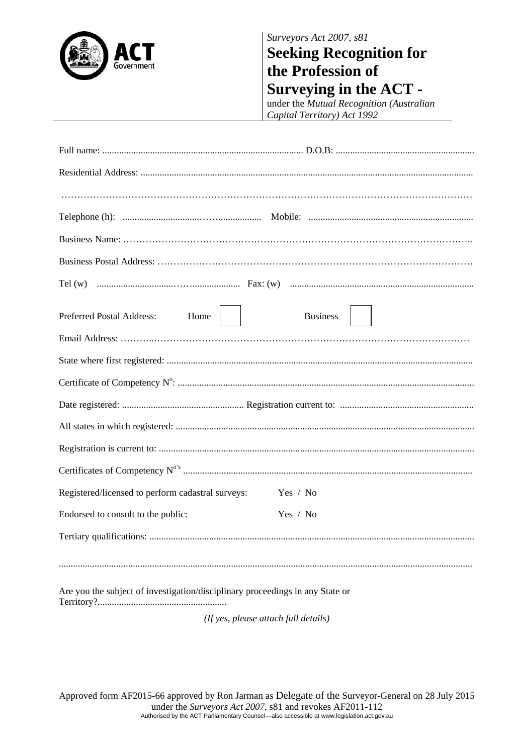

*Surveyors Act 2007, s81* 

## **Seeking Recognition for the Profession of Surveying in the ACT -**

under the *Mutual Recognition (Australian Capital Territory) Act 1992*

| Preferred Postal Address:<br>Home                                             | <b>Business</b><br>$\mathbf{1}$      |
|-------------------------------------------------------------------------------|--------------------------------------|
|                                                                               |                                      |
|                                                                               |                                      |
|                                                                               |                                      |
|                                                                               |                                      |
|                                                                               |                                      |
|                                                                               |                                      |
|                                                                               |                                      |
| Registered/licensed to perform cadastral surveys:                             | Yes / No                             |
| Endorsed to consult to the public:                                            | Yes / No                             |
|                                                                               |                                      |
| Are you the subject of investigation/disciplinary proceedings in any State or |                                      |
|                                                                               | (If yes, please attach full details) |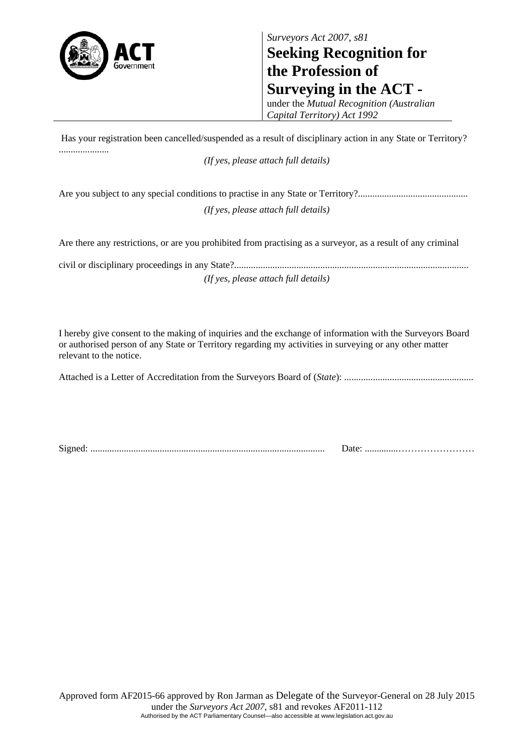

*Surveyors Act 2007, s81*  **Seeking Recognition for the Profession of Surveying in the ACT -** 

under the *Mutual Recognition (Australian Capital Territory) Act 1992*

 Has your registration been cancelled/suspended as a result of disciplinary action in any State or Territory? .....................

*(If yes, please attach full details)* 

Are you subject to any special conditions to practise in any State or Territory?.............................................. *(If yes, please attach full details)* 

Are there any restrictions, or are you prohibited from practising as a surveyor, as a result of any criminal

civil or disciplinary proceedings in any State?.................................................................................................. *(If yes, please attach full details)* 

I hereby give consent to the making of inquiries and the exchange of information with the Surveyors Board or authorised person of any State or Territory regarding my activities in surveying or any other matter relevant to the notice.

Attached is a Letter of Accreditation from the Surveyors Board of (*State*): ......................................................

Signed: .................................................................................................. Date: ..............……………………

Approved form AF2015-66 approved by Ron Jarman as Delegate of the Surveyor-General on 28 July 2015 under the *Surveyors Act 2007*, s81 and revokes AF2011-112 Authorised by the ACT Parliamentary Counsel—also accessible at www.legislation.act.gov.au